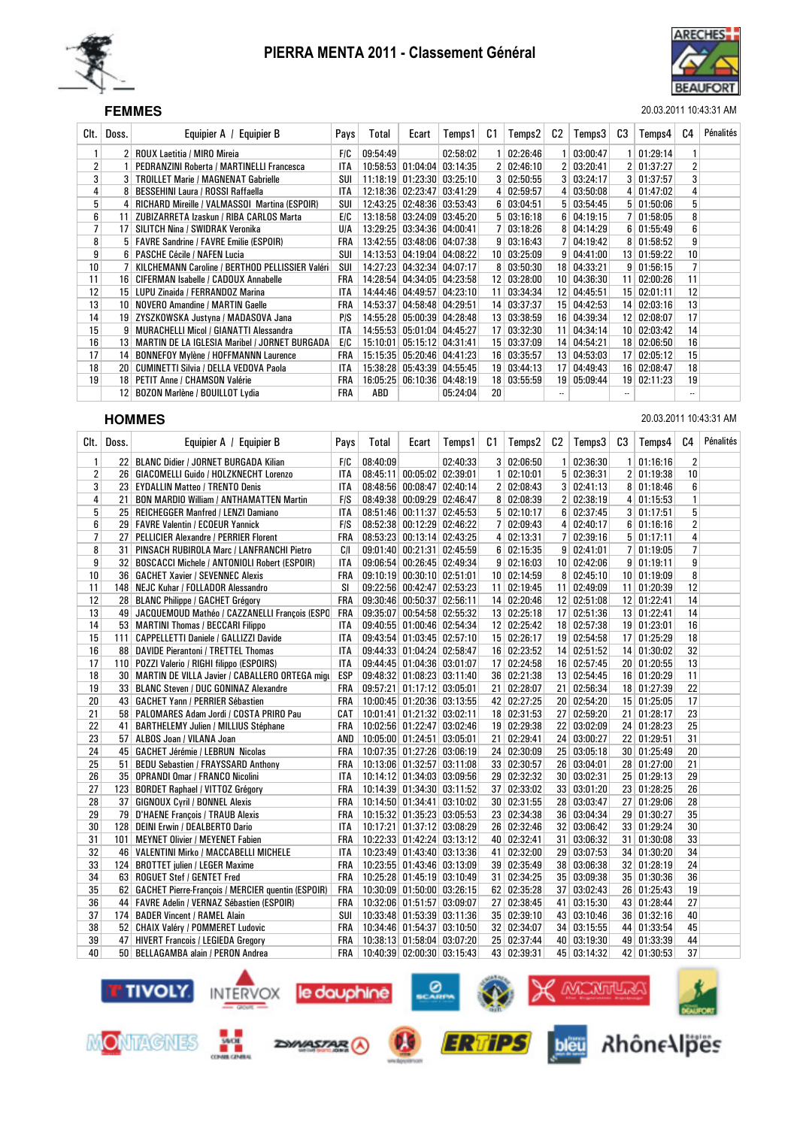



### SEF **FEMMES** 20.03.2011 10:43:31 AM

| Clt. I          | Doss. | Equipier A / Equipier B                         | Pays       | Total    | Ecart    | Temps 1             | C1              | Temps2        | C2              | Temps3             | C3 | Temps4       | C4 | Pénalités |
|-----------------|-------|-------------------------------------------------|------------|----------|----------|---------------------|-----------------|---------------|-----------------|--------------------|----|--------------|----|-----------|
|                 |       | <b>ROUX Laetitia / MIRO Mireia</b>              | <b>FIC</b> | 09:54:49 |          | 02:58:02            |                 | 02:26:46      |                 | 03:00:47           |    | 01:29:14     |    |           |
| 2               |       | PEDRANZINI Roberta / MARTINELLI Francesca       | <b>ITA</b> | 10:58:53 | 01:04:04 | 03:14:35            |                 | 2   02:46:10  |                 | 2   03:20:41       |    | 2   01:37:27 | 2  |           |
| 3               |       | <b>TROILLET Marie / MAGNENAT Gabrielle</b>      | SUI        | 11:18:19 |          | $01:23:30$ 03:25:10 |                 | 3   02:50:55  |                 | 3   03:24:17       |    | 3   01:37:57 | 3  |           |
| 4               |       | BESSEHINI Laura / ROSSI Raffaella               | <b>ITA</b> | 12:18:36 |          | $02:23:47$ 03:41:29 |                 | 4   02:59:57  |                 | 4   03:50:08       |    | 4   01:47:02 | 4  |           |
| 5               | 4     | RICHARD Mireille / VALMASSOI Martina (ESPOIR)   | SUI        | 12:43:25 |          | $02:48:36$ 03:53:43 | 6 <sup>1</sup>  | 03:04:51      |                 | 5   03:54:45       |    | 5   01:50:06 | 5  |           |
| 6               | 11    | ZUBIZARRETA Izaskun / RIBA CARLOS Marta         | E/C        | 13:18:58 |          | $03:24:09$ 03:45:20 |                 | 5   03:16:18  | 6 <sup>1</sup>  | 04:19:15           |    | 7   01:58:05 | 8  |           |
| $\overline{7}$  | 17    | <b>SILITCH Nina / SWIDRAK Veronika</b>          | UIA        | 13:29:25 |          | 03:34:36 04:00:41   |                 | 03:18:26      |                 | 8   04:14:29       |    | 6   01:55:49 | 6  |           |
| 8               | 5     | <b>FAVRE Sandrine / FAVRE Emilie (ESPOIR)</b>   | FRA        | 13:42:55 |          | $03:48:06$ 04:07:38 |                 | 9   03:16:43  | 7 <sup>1</sup>  | 04:19:42           |    | 8   01:58:52 | 9  |           |
| 9               | 61    | <b>PASCHE Cécile / NAFEN Lucia</b>              | SUI        | 14:13:53 |          | 04:19:04 04:08:22   | 10 <sup>1</sup> | 03:25:09      | 9 <sup>1</sup>  | 04:41:00           |    | 13 01:59:22  | 10 |           |
| 10 <sup>1</sup> |       | KILCHEMANN Caroline / BERTHOD PELLISSIER Valéri | SUI        | 14:27:23 |          | 04:32:34 04:07:17   |                 | 8   03:50:30  |                 | 18 04:33:21        |    | 9   01:56:15 |    |           |
| 11              | 16    | CIFERMAN Isabelle / CADOUX Annabelle            | FRA        | 14:28:54 |          | 04:34:05 04:23:58   |                 | 12 03:28:00   | 10 <sup>1</sup> | 04:36:30           |    | 11 02:00:26  | 11 |           |
| 12 <sup>2</sup> | 15    | LUPU Zinaida / FERRANDOZ Marina                 | ITA        | 14:44:46 |          | $04:49:57$ 04:23:10 |                 | 11 03:34:34   |                 | 12 04:45:51        |    | 15 02:01:11  | 12 |           |
| 13              | 10    | <b>NOVERO Amandine / MARTIN Gaelle</b>          | FRA        | 14:53:37 |          | 04:58:48 04:29:51   |                 | 14 03:37:37   |                 | 15 04:42:53        |    | 14 02:03:16  | 13 |           |
| 14              | 19    | ZYSZKOWSKA Justyna / MADASOVA Jana              | P/S        | 14:55:28 |          | 05:00:39 04:28:48   |                 | 13 03:38:59   |                 | 16 04:39:34        |    | 12 02:08:07  | 17 |           |
| 15              |       | <b>MURACHELLI Micol / GIANATTI Alessandra</b>   | <b>ITA</b> | 14:55:53 |          | 05:01:04 04:45:27   |                 | 17 03:32:30   |                 | $11 \mid 04:34:14$ |    | 10 02:03:42  | 14 |           |
| 16              | 13    | MARTIN DE LA IGLESIA Maribel / JORNET BURGADA   | E/C        | 15:10:01 |          | 05:15:12 04:31:41   |                 | 15 03:37:09   | 14              | 04:54:21           |    | 18 02:06:50  | 16 |           |
| 17              | 14    | <b>BONNEFOY Mylène / HOFFMANNN Laurence</b>     | FRA        | 15:15:35 |          | 05:20:46 04:41:23   |                 | 16 03:35:57   |                 | $13 \mid 04:53:03$ |    | 17 02:05:12  | 15 |           |
| 18              | 20    | <b>CUMINETTI Silvia / DELLA VEDOVA Paola</b>    | <b>ITA</b> | 15:38:28 |          | 05:43:39 04:55:45   |                 | 19 03:44:13   |                 | 17 04:49:43        |    | 16 02:08:47  | 18 |           |
| 19              | 18    | PETIT Anne / CHAMSON Valérie                    | FRA        | 16:05:25 |          | 06:10:36 04:48:19   |                 | 18   03:55:59 |                 | 19 05:09:44        |    | 19 02:11:23  | 19 |           |
|                 | 12    | BOZON Marlène / BOUILLOT Lydia                  | FRA        | ABD      |          | 05:24:04            | 20              |               | $\ddotsc$       |                    |    |              |    |           |

**HOMMES** 20.03.2011 10:43:31 AM

| Clt.           | Doss.           | Equipier A / Equipier B                                | Pays       | Total    | Ecart                      | Temps1              | C1 | Temps2            | C2 | Temps3            | C <sub>3</sub> | Temps4        | C <sub>4</sub> | Pénalités |
|----------------|-----------------|--------------------------------------------------------|------------|----------|----------------------------|---------------------|----|-------------------|----|-------------------|----------------|---------------|----------------|-----------|
| $\mathbf{1}$   |                 | 22 BLANC Didier / JORNET BURGADA Kilian                | F/C        | 08:40:09 |                            | 02:40:33            |    | 3   02:06:50      | 1  | 02:36:30          |                | 1   01:16:16  | $\overline{2}$ |           |
| 2              |                 | 26   GIACOMELLI Guido / HOLZKNECHT Lorenzo             | ITA        | 08:45:11 | $00:05:02$ 02:39:01        |                     |    | 1   02:10:01      |    | 5   02:36:31      |                | 2 01:19:38    | 10             |           |
| 3              |                 | 23 EYDALLIN Matteo / TRENTO Denis                      | <b>ITA</b> | 08:48:56 |                            | $00:08:47$ 02:40:14 |    | 2   02:08:43      |    | 3   02:41:13      |                | 8   01:18:46  | 6              |           |
| 4              | 21              | <b>BON MARDIO William / ANTHAMATTEN Martin</b>         | F/S        |          | 08:49:38 00:09:29 02:46:47 |                     |    | 8   02:08:39      |    | 2   02:38:19      |                | 4   01:15:53  | $\mathbf{1}$   |           |
| 5              |                 | 25   REICHEGGER Manfred / LENZI Damiano                | ITA        |          | 08:51:46 00:11:37 02:45:53 |                     |    | 5   02:10:17      |    | $6 \mid 02:37:45$ |                | 3   01:17:51  | 5              |           |
| 6              |                 | 29   FAVRE Valentin / ECOEUR Yannick                   | <b>FIS</b> |          | 08:52:38 00:12:29 02:46:22 |                     |    | 7 02:09:43        |    | 4 02:40:17        |                | 6 01:16:16    | $\overline{2}$ |           |
| $\overline{7}$ | 27 <sup>1</sup> | PELLICIER Alexandre / PERRIER Florent                  | <b>FRA</b> |          | 08:53:23 00:13:14 02:43:25 |                     |    | 4   02:13:31      |    | 7   02:39:16      |                | 5   01:17:11  | 4              |           |
| 8              | 31 <sup>1</sup> | PINSACH RUBIROLA Marc / LANFRANCHI Pietro              | C/I        |          | 09:01:40 00:21:31 02:45:59 |                     |    | $6 \mid 02:15:35$ |    | 9   02:41:01      |                | 7   01:19:05  | $\overline{7}$ |           |
| 9              |                 | 32 BOSCACCI Michele / ANTONIOLI Robert (ESPOIR)        | <b>ITA</b> |          | 09:06:54 00:26:45 02:49:34 |                     |    | 9   02:16:03      |    | 10 02:42:06       |                | 9   01:19:11  | 9              |           |
| 10             |                 | 36   GACHET Xavier / SEVENNEC Alexis                   | <b>FRA</b> |          | 09:10:19 00:30:10 02:51:01 |                     |    | 10 02:14:59       |    | 8   02:45:10      |                | 10 01:19:09   | 8              |           |
| 11             |                 | 148 NEJC Kuhar / FOLLADOR Alessandro                   | SI         |          | 09:22:56 00:42:47 02:53:23 |                     |    | 11 02:19:45       |    | 11 02:49:09       |                | 11 01:20:39   | 12             |           |
| 12             |                 | 28 BLANC Philippe / GACHET Grégory                     | FRA        |          | 09:30:46 00:50:37 02:56:11 |                     |    | 14 02:20:46       |    | 12 02:51:08       |                | 12 01:22:41   | 14             |           |
| 13             |                 | 49 JACQUEMOUD Mathéo / CAZZANELLI François (ESPC       | <b>FRA</b> |          | 09:35:07 00:54:58 02:55:32 |                     |    | 13   02:25:18     |    | 17 02:51:36       |                | 13 01:22:41   | 14             |           |
| 14             |                 | 53 MARTINI Thomas / BECCARI Filippo                    | <b>ITA</b> |          | 09:40:55 01:00:46 02:54:34 |                     |    | 12 02:25:42       |    | 18 02:57:38       |                | 19 01:23:01   | 16             |           |
| 15             |                 | 111   CAPPELLETTI Daniele / GALLIZZI Davide            | <b>ITA</b> |          | 09:43:54 01:03:45 02:57:10 |                     |    | 15 02:26:17       |    | 19 02:54:58       |                | 17 01:25:29   | 18             |           |
| 16             |                 | 88 DAVIDE Pierantoni / TRETTEL Thomas                  | <b>ITA</b> |          | 09:44:33 01:04:24 02:58:47 |                     |    | 16 02:23:52       |    | 14 02:51:52       |                | 14 01:30:02   | 32             |           |
| 17             |                 | 110 POZZI Valerio / RIGHI filippo (ESPOIRS)            | ITA        |          | 09:44:45 01:04:36 03:01:07 |                     |    | 17 02:24:58       |    | 16 02:57:45       |                | 20 01:20:55   | 13             |           |
| 18             |                 | 30   MARTIN DE VILLA Javier / CABALLERO ORTEGA migu    | <b>ESP</b> |          | 09:48:32 01:08:23 03:11:40 |                     |    | 36 02:21:38       |    | 13 02:54:45       |                | 16 01:20:29   | 11             |           |
| 19             |                 | 33 BLANC Steven / DUC GONINAZ Alexandre                | <b>FRA</b> |          | 09:57:21 01:17:12 03:05:01 |                     |    | 21 02:28:07       |    | 21 02:56:34       |                | 18 01:27:39   | 22             |           |
| 20             |                 | 43   GACHET Yann / PERRIER Sébastien                   | <b>FRA</b> |          | 10:00:45 01:20:36 03:13:55 |                     |    | 42 02:27:25       |    | 20 02:54:20       |                | 15 01:25:05   | 17             |           |
| 21             |                 | 58   PALOMARES Adam Jordi / COSTA PRIRO Pau            | CAT        |          | 10:01:41 01:21:32 03:02:11 |                     |    | 18 02:31:53       |    | 27 02:59:20       |                | 21 01:28:17   | 23             |           |
| 22             | 41              | <b>BARTHELEMY Julien / MILLIUS Stéphane</b>            | <b>FRA</b> |          | 10:02:56 01:22:47 03:02:46 |                     |    | 19 02:29:38       |    | 22   03:02:09     |                | 24 01:28:23   | 25             |           |
| 23             |                 | 57 ALBOS Joan / VILANA Joan                            | AND        |          | 10:05:00 01:24:51 03:05:01 |                     |    | 21 02:29:41       |    | 24 03:00:27       |                | 22 01:29:51   | 31             |           |
| 24             |                 | 45   GACHET Jérémie / LEBRUN Nicolas                   | <b>FRA</b> |          | 10:07:35 01:27:26 03:06:19 |                     |    | 24 02:30:09       |    | 25 03:05:18       |                | 30 01:25:49   | 20             |           |
| 25             | 51              | <b>BEDU Sebastien / FRAYSSARD Anthony</b>              | FRA        |          | 10:13:06 01:32:57 03:11:08 |                     |    | 33 02:30:57       |    | 26 03:04:01       |                | 28 01:27:00   | 21             |           |
| 26             |                 | 35   OPRANDI Omar / FRANCO Nicolini                    | <b>ITA</b> |          | 10:14:12 01:34:03 03:09:56 |                     |    | 29 02:32:32       |    | 30 03:02:31       |                | 25 01:29:13   | 29             |           |
| 27             |                 | 123 BORDET Raphael / VITTOZ Grégory                    | <b>FRA</b> |          | 10:14:39 01:34:30 03:11:52 |                     |    | 37   02:33:02     |    | 33   03:01:20     |                | 23 01:28:25   | 26             |           |
| 28             |                 | 37 GIGNOUX Cyril / BONNEL Alexis                       | <b>FRA</b> |          | 10:14:50 01:34:41 03:10:02 |                     |    | 30 02:31:55       |    | 28 03:03:47       |                | 27 01:29:06   | 28             |           |
| 29             |                 | 79 D'HAENE François / TRAUB Alexis                     | <b>FRA</b> |          | 10:15:32 01:35:23 03:05:53 |                     |    | 23 02:34:38       |    | 36 03:04:34       |                | 29 01:30:27   | 35             |           |
| 30             |                 | 128 DEINI Erwin / DEALBERTO Dario                      | <b>ITA</b> |          | 10:17:21 01:37:12 03:08:29 |                     |    | 26 02:32:46       |    | 32 03:06:42       |                | 33 01:29:24   | 30             |           |
| 31             |                 | 101   MEYNET Olivier / MEYENET Fabien                  | <b>FRA</b> |          | 10:22:33 01:42:24 03:13:12 |                     |    | 40 02:32:41       |    | 31 03:06:32       |                | 31   01:30:08 | 33             |           |
| 32             |                 | 46   VALENTINI Mirko / MACCABELLI MICHELE              | <b>ITA</b> |          | 10:23:49 01:43:40 03:13:36 |                     |    | 41 02:32:00       |    | 29 03:07:53       |                | 34 01:30:20   | 34             |           |
| 33             |                 | 124 BROTTET julien / LEGER Maxime                      | <b>FRA</b> |          | 10:23:55 01:43:46 03:13:09 |                     |    | 39 02:35:49       |    | 38 03:06:38       |                | 32 01:28:19   | 24             |           |
| 34             |                 | 63 ROGUET Stef / GENTET Fred                           | <b>FRA</b> |          | 10:25:28 01:45:19 03:10:49 |                     |    | 31 02:34:25       |    | 35 03:09:38       |                | 35 01:30:36   | 36             |           |
| 35             |                 | 62   GACHET Pierre-François / MERCIER quentin (ESPOIR) | FRA        |          | 10:30:09 01:50:00 03:26:15 |                     |    | 62 02:35:28       |    | 37   03:02:43     |                | 26 01:25:43   | 19             |           |
| 36             |                 | 44   FAVRE Adelin / VERNAZ Sébastien (ESPOIR)          | <b>FRA</b> |          | 10:32:06 01:51:57 03:09:07 |                     |    | 27 02:38:45       |    | 41 03:15:30       |                | 43 01:28:44   | 27             |           |
| 37             |                 | 174 BADER Vincent / RAMEL Alain                        | <b>SUI</b> |          | 10:33:48 01:53:39 03:11:36 |                     |    | 35 02:39:10       |    | 43 03:10:46       |                | 36 01:32:16   | 40             |           |
| 38             |                 | 52 CHAIX Valéry / POMMERET Ludovic                     | FRA        |          | 10:34:46 01:54:37 03:10:50 |                     |    | 32 02:34:07       |    | 34 03:15:55       |                | 44 01:33:54   | 45             |           |
| 39             |                 | 47 HIVERT Francois / LEGIEDA Gregory                   | <b>FRA</b> |          | 10:38:13 01:58:04 03:07:20 |                     |    | 25 02:37:44       |    | 40 03:19:30       |                | 49 01:33:39   | 44             |           |
| 40             |                 | 50 BELLAGAMBA alain / PERON Andrea                     | <b>FRA</b> |          | 10:40:39 02:00:30 03:15:43 |                     |    | 43 02:39:31       |    | 45 03:14:32       |                | 42 01:30:53   | 37             |           |

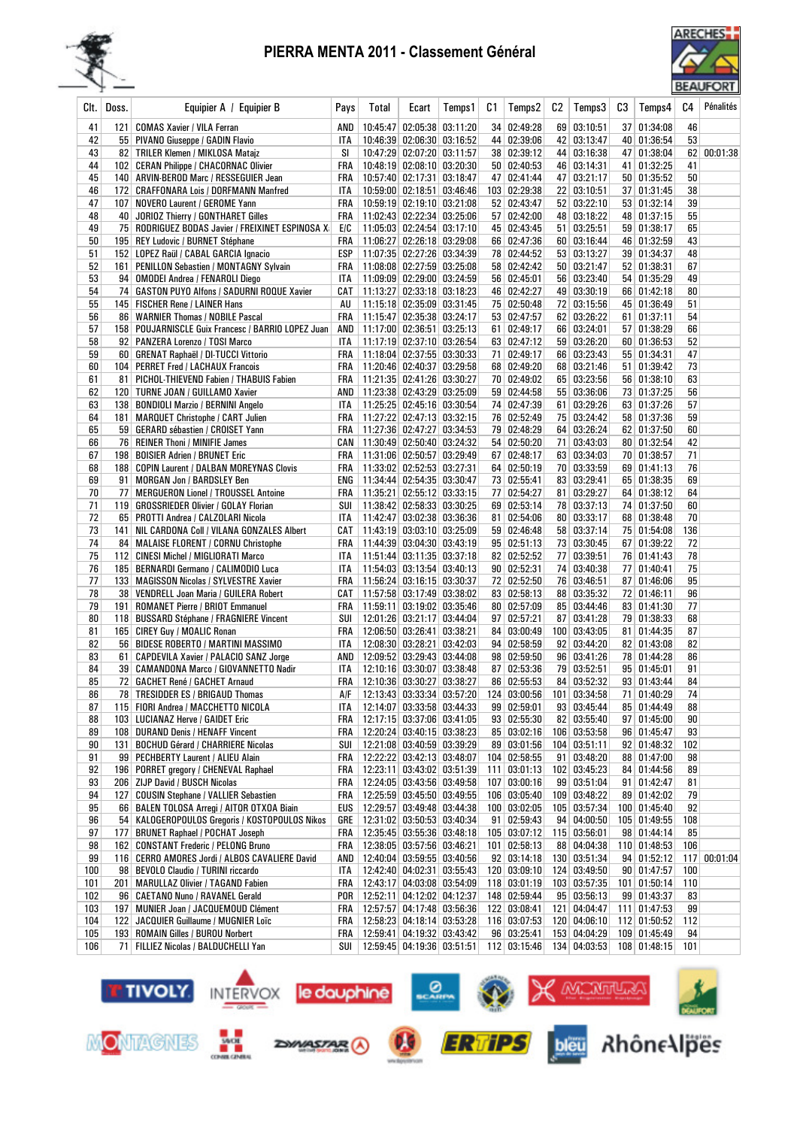



| CIt.      | Doss. | Equipier A / Equipier B                                                                     | Pays       | Total | Ecart                                                                | Temps1 | C1 | Temps2                       | C2  | Temps3                         | CЗ | Temps4                       | C4       | Pénalités    |
|-----------|-------|---------------------------------------------------------------------------------------------|------------|-------|----------------------------------------------------------------------|--------|----|------------------------------|-----|--------------------------------|----|------------------------------|----------|--------------|
| 41        | 121   | <b>COMAS Xavier / VILA Ferran</b>                                                           | AND        |       | 10:45:47 02:05:38 03:11:20                                           |        |    | 34 02:49:28                  |     | 69 03:10:51                    |    | 37   01:34:08                | 46       |              |
| 42        |       | 55 PIVANO Giuseppe / GADIN Flavio                                                           | ITA        |       | 10:46:39 02:06:30 03:16:52                                           |        |    | 44 02:39:06                  |     | 42 03:13:47                    |    | 40 01:36:54                  | 53       |              |
| 43        |       | 82   TRILER Klemen / MIKLOSA Matajz                                                         | SI         |       | 10:47:29 02:07:20 03:11:57                                           |        |    | 38 02:39:12                  |     | 44 03:16:38                    |    | 47 01:38:04                  | 62       | 00:01:38     |
| 44        |       | 102 CERAN Philippe / CHACORNAC Olivier                                                      | FRA        |       | 10:48:19 02:08:10 03:20:30                                           |        |    | $50 \mid 02:40:53$           |     | 46 03:14:31                    |    | 41 01:32:25                  | 41       |              |
| 45<br>46  |       | 140   ARVIN-BEROD Marc / RESSEGUIER Jean<br>172 CRAFFONARA Lois / DORFMANN Manfred          | FRA<br>ITA |       | 10:57:40 02:17:31 03:18:47<br>10:59:00 02:18:51 03:46:46             |        |    | 47 02:41:44<br>103 02:29:38  |     | 47 03:21:17<br>22   03:10:51   |    | 50 01:35:52<br>37 01:31:45   | 50<br>38 |              |
| 47        |       | 107   NOVERO Laurent / GEROME Yann                                                          | FRA        |       | 10:59:19 02:19:10 03:21:08                                           |        |    | 52 02:43:47                  |     | 52   03:22:10                  |    | 53 01:32:14                  | 39       |              |
| 48        |       | 40 JORIOZ Thierry / GONTHARET Gilles                                                        | FRA        |       | 11:02:43 02:22:34 03:25:06                                           |        |    | 57 02:42:00                  |     | 48 03:18:22                    |    | 48 01:37:15                  | 55       |              |
| 49        |       | 75   RODRIGUEZ BODAS Javier / FREIXINET ESPINOSA X                                          | E/C        |       | 11:05:03 02:24:54 03:17:10                                           |        |    | 45 02:43:45                  |     | 51   03:25:51                  |    | 59 01:38:17                  | 65       |              |
| 50        |       | 195 REY Ludovic / BURNET Stéphane                                                           | <b>FRA</b> |       | 11:06:27 02:26:18 03:29:08                                           |        |    | 66 02:47:36                  |     | 60 03:16:44                    |    | 46 01:32:59                  | 43       |              |
| 51        |       | 152 LOPEZ Raül / CABAL GARCIA Ignacio                                                       | ESP        |       | 11:07:35 02:27:26 03:34:39                                           |        |    | 78 02:44:52                  |     | 53 03:13:27                    |    | 39 01:34:37                  | 48       |              |
| 52        | 161   | <b>PENILLON Sebastien / MONTAGNY Sylvain</b>                                                | FRA        |       | 11:08:08 02:27:59 03:25:08                                           |        |    | 58 02:42:42                  |     | 50   03:21:47                  |    | 52 01:38:31                  | 67       |              |
| 53        | 94    | <b>OMODEI Andrea / FENAROLI Diego</b>                                                       | <b>ITA</b> |       | 11:09:09 02:29:00 03:24:59                                           |        |    | 56 02:45:01                  |     | 56 03:23:40                    |    | 54 01:35:29                  | 49       |              |
| 54        |       | 74   GASTON PUYO Alfons / SADURNI ROQUE Xavier                                              |            |       | CAT   11:13:27 02:33:18 03:18:23                                     |        |    | 46 02:42:27                  |     | 49 03:30:19                    |    | 66 01:42:18                  | 80       |              |
| 55        |       | 145   FISCHER Rene / LAINER Hans                                                            | AU         |       | 11:15:18 02:35:09 03:31:45                                           |        |    | 75 02:50:48                  |     | 72 03:15:56                    |    | 45 01:36:49                  | 51       |              |
| 56<br>57  |       | 86   WARNIER Thomas / NOBILE Pascal<br>158   POUJARNISCLE Guix Francesc / BARRIO LOPEZ Juan | FRA<br>AND |       | 11:15:47 02:35:38 03:24:17<br>11:17:00 02:36:51 03:25:13             |        |    | 53 02:47:57<br>61 02:49:17   |     | 62 03:26:22<br>66 03:24:01     |    | 61   01:37:11<br>57 01:38:29 | 54<br>66 |              |
| 58        |       | 92   PANZERA Lorenzo / TOSI Marco                                                           | ITA        |       | 11:17:19 02:37:10 03:26:54                                           |        |    | 63 02:47:12                  |     | 59 03:26:20                    |    | 60 01:36:53                  | 52       |              |
| 59        |       | 60   GRENAT Raphaël / DI-TUCCI Vittorio                                                     | FRA        |       | $11:18:04$ 02:37:55 03:30:33                                         |        |    | 71 02:49:17                  |     | 66 03:23:43                    |    | 55 01:34:31                  | 47       |              |
| 60        |       | 104   PERRET Fred / LACHAUX Francois                                                        | FRA        |       | 11:20:46   02:40:37   03:29:58                                       |        |    | 68 02:49:20                  |     | 68 03:21:46                    |    | 51 01:39:42                  | 73       |              |
| 61        | 81    | PICHOL-THIEVEND Fabien / THABUIS Fabien                                                     |            |       | FRA   11:21:35 02:41:26 03:30:27                                     |        |    | 70 02:49:02                  |     | 65 03:23:56                    |    | 56 01:38:10                  | 63       |              |
| 62        |       | 120   TURNE JOAN / GUILLAMO Xavier                                                          |            |       | AND 11:23:38 02:43:29 03:25:09                                       |        |    | 59 02:44:58                  |     | 55 03:36:06                    |    | 73 01:37:25                  | 56       |              |
| 63        |       | 138   BONDIOLI Marzio / BERNINI Angelo                                                      | ITA        |       | 11:25:25 02:45:16 03:30:54                                           |        |    | 74 02:47:39                  |     | 61 03:29:26                    |    | 63 01:37:26                  | 57       |              |
| 64        | 181   | <b>MARQUET Christophe / CART Julien</b>                                                     | FRA        |       | 11:27:22 02:47:13 03:32:15                                           |        |    | 76 02:52:49                  |     | 75 03:24:42                    |    | 58 01:37:36                  | 59       |              |
| 65        |       | 59 GERARD sébastien / CROISET Yann                                                          | FRA        |       | 11:27:36 02:47:27 03:34:53                                           |        |    | 79 02:48:29                  |     | 64 03:26:24                    |    | 62 01:37:50                  | 60       |              |
| 66        |       | 76   REINER Thoni / MINIFIE James                                                           |            |       | CAN   11:30:49 02:50:40 03:24:32                                     |        |    | 54 02:50:20                  |     | 71 03:43:03                    |    | 80 01:32:54                  | 42       |              |
| 67        |       | 198   BOISIER Adrien / BRUNET Eric                                                          | FRA        |       | 11:31:06 02:50:57 03:29:49                                           |        |    | 67 02:48:17                  |     | 63 03:34:03                    |    | 70 01:38:57                  | 71       |              |
| 68<br>69  |       | 188 COPIN Laurent / DALBAN MOREYNAS Clovis<br>91   MORGAN Jon / BARDSLEY Ben                | FRA        |       | 11:33:02 02:52:53 03:27:31<br>ENG   11:34:44 02:54:35 03:30:47       |        |    | 64 02:50:19<br>73 02:55:41   |     | 70 03:33:59<br>83 03:29:41     |    | 69 01:41:13<br>65 01:38:35   | 76<br>69 |              |
| 70        | 77    | <b>MERGUERON Lionel / TROUSSEL Antoine</b>                                                  |            |       | FRA   11:35:21 02:55:12 03:33:15                                     |        |    | 77 02:54:27                  |     | 81 03:29:27                    |    | 64 01:38:12                  | 64       |              |
| 71        |       | 119   GROSSRIEDER Olivier / GOLAY Florian                                                   | SUI        |       | 11:38:42 02:58:33 03:30:25                                           |        |    | 69 02:53:14                  |     | 78 03:37:13                    |    | 74 01:37:50                  | 60       |              |
| 72        |       | 65   PROTTI Andrea / CALZOLARI Nicola                                                       | ITA        |       | 11:42:47 03:02:38 03:36:36                                           |        |    | 81 02:54:06                  |     | 80 03:33:17                    |    | 68 01:38:48                  | 70       |              |
| 73        | 141   | NIL CARDONA Coll / VILANA GONZALES Albert                                                   |            |       | CAT   11:43:19 03:03:10 03:25:09                                     |        |    | 59 02:46:48                  |     | 58 03:37:14                    |    | 75 01:54:08                  | 136      |              |
| 74        |       | 84   MALAISE FLORENT / CORNU Christophe                                                     | FRA        |       | 11:44:39 03:04:30 03:43:19                                           |        |    | 95   02:51:13                |     | 73 03:30:45                    |    | 67 01:39:22                  | 72       |              |
| 75        |       | 112 CINESI Michel / MIGLIORATI Marco                                                        | <b>ITA</b> |       | 11:51:44 03:11:35 03:37:18                                           |        |    | 82 02:52:52                  |     | 77 03:39:51                    |    | 76 01:41:43                  | 78       |              |
| 76        |       | 185   BERNARDI Germano / CALIMODIO Luca                                                     | <b>ITA</b> |       | 11:54:03 03:13:54 03:40:13                                           |        |    | 90   02:52:31                |     | 74 03:40:38                    |    | 77 01:40:41                  | 75       |              |
| 77        |       | 133   MAGISSON Nicolas / SYLVESTRE Xavier                                                   |            |       | FRA   11:56:24 03:16:15 03:30:37                                     |        |    | 72 02:52:50                  |     | 76 03:46:51                    |    | 87 01:46:06                  | 95       |              |
| 78<br>79  | 191   | 38   VENDRELL Joan Maria / GUILERA Robert<br><b>ROMANET Pierre / BRIOT Emmanuel</b>         |            |       | CAT   11:57:58 03:17:49 03:38:02<br>FRA   11:59:11 03:19:02 03:35:46 |        |    | 83 02:58:13<br>80   02:57:09 |     | 88 03:35:32<br>85 03:44:46     |    | 72 01:46:11<br>83 01:41:30   | 96<br>77 |              |
| 80        |       | 118 BUSSARD Stéphane / FRAGNIERE Vincent                                                    | SUI        |       | 12:01:26 03:21:17 03:44:04                                           |        |    | 97 02:57:21                  |     | 87 03:41:28                    |    | 79 01:38:33                  | 68       |              |
| 81        |       | 165 CIREY Guy / MOALIC Ronan                                                                | FRA        |       | 12:06:50 03:26:41 03:38:21                                           |        |    | 84 03:00:49                  |     | 100 03:43:05                   |    | 81 01:44:35                  | 87       |              |
| 82        |       | 56 BIDESE ROBERTO / MARTINI MASSIMO                                                         | <b>ITA</b> |       | 12:08:30 03:28:21 03:42:03                                           |        |    | 94   02:58:59                |     | 92 03:44:20                    |    | $82 \mid 01:43:08$           | 82       |              |
| 83        | 61    | CAPDEVILA Xavier / PALACIO SANZ Jorge                                                       |            |       | AND   12:09:52 03:29:43 03:44:08                                     |        |    | 98 02:59:50                  |     | 96 03:41:26                    |    | 78 01:44:28                  | 86       |              |
| 84        |       | 39 CAMANDONA Marco / GIOVANNETTO Nadir                                                      | ITA        |       | 12:10:16 03:30:07 03:38:48                                           |        |    | 87 02:53:36                  |     | 79 03:52:51                    |    | 95   01:45:01                | 91       |              |
| 85        |       | 72   GACHET René / GACHET Arnaud                                                            |            |       | FRA 12:10:36 03:30:27 03:38:27                                       |        |    | 86 02:55:53                  |     | 84 03:52:32                    |    | 93 01:43:44                  | 84       |              |
| 86        |       | 78 TRESIDDER ES / BRIGAUD Thomas   A/F   12:13:43 03:33:34 03:57:20                         |            |       |                                                                      |        |    |                              |     | 124 03:00:56 101 03:34:58      |    | 71 01:40:29                  | 74       |              |
| 87        |       | 115   FIORI Andrea / MACCHETTO NICOLA                                                       | ITA        |       | 12:14:07 03:33:58 03:44:33                                           |        |    | 99   02:59:01                |     | 93 03:45:44                    |    | 85 01:44:49                  | 88       |              |
| 88<br>89  |       | 103 LUCIANAZ Herve / GAIDET Eric                                                            | FRA        |       | 12:17:15 03:37:06 03:41:05                                           |        |    | 93 02:55:30<br>85 03:02:16   |     | 82 03:55:40                    |    | 97 01:45:00<br>96 01:45:47   | 90<br>93 |              |
| 90        | 131   | 108 DURAND Denis / HENAFF Vincent<br><b>BOCHUD Gérard / CHARRIERE Nicolas</b>               | FRA<br>SUI |       | 12:20:24 03:40:15 03:38:23<br>12:21:08 03:40:59 03:39:29             |        |    | 89 03:01:56                  |     | 106 03:53:58<br>104   03:51:11 |    | 92 01:48:32                  | 102      |              |
| 91        |       | 99 PECHBERTY Laurent / ALIEU Alain                                                          |            |       | FRA   12:22:22 03:42:13 03:48:07                                     |        |    | 104 02:58:55                 |     | 91 03:48:20                    |    | 88 01:47:00                  | 98       |              |
| 92        |       | 196   PORRET gregory / CHENEVAL Raphael                                                     | FRA        |       | 12:23:11 03:43:02 03:51:39                                           |        |    | 111 03:01:13                 |     | 102 03:45:23                   |    | 84 01:44:56                  | 89       |              |
| 93        |       | 206 ZIJP David / BUSCH Nicolas                                                              | FRA        |       | 12:24:05 03:43:56 03:49:58                                           |        |    | $107$ 03:00:16               |     | 99 03:51:04                    |    | 91 01:42:47                  | 81       |              |
| 94        |       | 127 COUSIN Stephane / VALLIER Sebastien                                                     | FRA        |       | 12:25:59 03:45:50 03:49:55                                           |        |    | 106 03:05:40                 |     | 109 03:48:22                   |    | 89 01:42:02                  | 79       |              |
| 95        |       | 66 BALEN TOLOSA Arregi / AITOR OTXOA Biain                                                  | EUS        |       | 12:29:57 03:49:48 03:44:38                                           |        |    | 100 03:02:05                 |     | 105 03:57:34                   |    | 100 01:45:40                 | 92       |              |
| 96        |       | 54   KALOGEROPOULOS Gregoris / KOSTOPOULOS Nikos                                            |            |       | GRE   12:31:02 03:50:53 03:40:34                                     |        |    | 91 02:59:43                  |     | 94 04:00:50                    |    | 105 01:49:55                 | 108      |              |
| 97        | 177   | <b>BRUNET Raphael / POCHAT Joseph</b>                                                       | FRA        |       | 12:35:45 03:55:36 03:48:18                                           |        |    | 105   03:07:12               |     | $115$ 03:56:01                 |    | 98 01:44:14                  | 85       |              |
| 98        |       | 162 CONSTANT Frederic / PELONG Bruno                                                        |            |       | FRA 12:38:05 03:57:56 03:46:21                                       |        |    | $101$ 02:58:13               |     | 88 04:04:38                    |    | 110 01:48:53                 | 106      |              |
| 99<br>100 |       | 116 CERRO AMORES Jordi / ALBOS CAVALIERE David<br>98   BEVOLO Claudio / TURINI riccardo     |            |       | AND   12:40:04 03:59:55 03:40:56<br>12:42:40 04:02:31 03:55:43       |        |    | 92 03:14:18<br>120 03:09:10  |     | 130 03:51:34<br>124 03:49:50   |    | 94 01:52:12<br>90   01:47:57 | 100      | 117 00:01:04 |
| 101       |       | 201   MARULLAZ Olivier / TAGAND Fabien                                                      | ITA<br>FRA |       | 12:43:17 04:03:08 03:54:09                                           |        |    | $118$ 03:01:19               |     | 103 03:57:35                   |    | 101   01:50:14               | 110      |              |
| 102       |       | 96   CAETANO Nuno / RAVANEL Gerald                                                          |            |       | POR   12:52:11 04:12:02 04:12:37                                     |        |    | 148 02:59:44                 |     | 95 03:56:13                    |    | 99 01:43:37                  | 83       |              |
| 103       |       | 197 MUNIER Joan / JACQUEMOUD Clément                                                        | FRA        |       | 12:57:57 04:17:48 03:56:36                                           |        |    | 122 03:08:41                 | 121 | 04:04:47                       |    | 111 01:47:53                 | 99       |              |
| 104       | 122   | JACQUIER Guillaume / MUGNIER Loïc                                                           | FRA        |       | 12:58:23 04:18:14 03:53:28                                           |        |    | 116 03:07:53                 |     | 120 04:06:10                   |    | 112 01:50:52                 | 112      |              |
| 105       |       | 193 ROMAIN Gilles / BUROU Norbert                                                           | FRA        |       | 12:59:41 04:19:32 03:43:42                                           |        |    | 96 03:25:41                  |     | 153 04:04:29                   |    | 109 01:45:49                 | 94       |              |
| 106       | 71    | FILLIEZ Nicolas / BALDUCHELLI Yan                                                           | SUI        |       | 12:59:45 04:19:36 03:51:51                                           |        |    | 112 03:15:46                 |     | 134   04:03:53                 |    | 108 01:48:15                 | 101      |              |

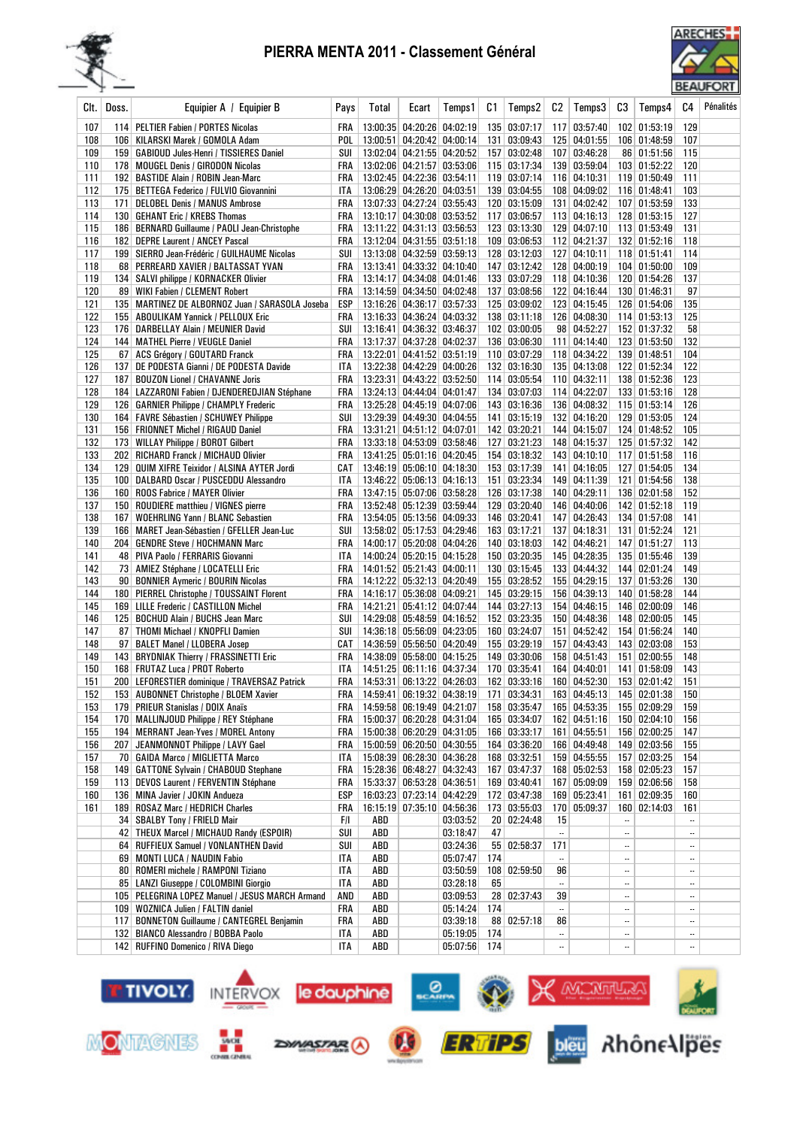



| Clt.       | Doss. | Equipier A / Equipier B                                                                 | Pays         | Total | Ecart                                                    | Temps 1  | C1  | Temps2                       | C2        | Temps3                       | C3                       | Temps4                       | C4              | Pénalités |
|------------|-------|-----------------------------------------------------------------------------------------|--------------|-------|----------------------------------------------------------|----------|-----|------------------------------|-----------|------------------------------|--------------------------|------------------------------|-----------------|-----------|
| 107        |       | 114   PELTIER Fabien / PORTES Nicolas                                                   | FRA          |       | 13:00:35 04:20:26 04:02:19                               |          |     | 135 03:07:17                 |           | 117 03:57:40                 |                          | 102 01:53:19                 | 129             |           |
| 108        |       | 106   KILARSKI Marek / GOMOLA Adam                                                      | POL          |       | 13:00:51 04:20:42 04:00:14                               |          |     | 131 03:09:43                 |           | 125 04:01:55                 |                          | 106 01:48:59                 | 107             |           |
| 109        |       | 159   GABIOUD Jules-Henri / TISSIERES Daniel                                            | SUI          |       | 13:02:04 04:21:55 04:20:52                               |          |     | 157 03:02:48                 |           | 107 03:46:28                 |                          | 86 01:51:56                  | 115             |           |
| 110        |       | 178   MOUGEL Denis / GIRODON Nicolas                                                    | FRA          |       | 13:02:06 04:21:57 03:53:06                               |          |     | 115 03:17:34                 |           | 139 03:59:04                 |                          | 103 01:52:22                 | 120             |           |
| 111        |       | 192 BASTIDE Alain / ROBIN Jean-Marc                                                     | FRA          |       | 13:02:45 04:22:36 03:54:11                               |          |     | 119 03:07:14                 |           | 116 04:10:31                 |                          | 119 01:50:49                 | 111             |           |
| 112        |       | 175   BETTEGA Federico / FULVIO Giovannini                                              | ITA          |       | 13:06:29 04:26:20 04:03:51                               |          |     | 139 03:04:55                 |           | 108 04:09:02                 |                          | 116 01:48:41                 | 103             |           |
| 113        | 171   | <b>DELOBEL Denis / MANUS Ambrose</b>                                                    | FRA          |       | 13:07:33 04:27:24 03:55:43                               |          |     | 120 03:15:09                 |           | 131 04:02:42                 |                          | 107 01:53:59                 | 133             |           |
| 114<br>115 |       | 130   GEHANT Eric / KREBS Thomas                                                        | FRA          |       | 13:10:17 04:30:08 03:53:52                               |          |     | 117 03:06:57<br>123 03:13:30 |           | 113 04:16:13<br>129 04:07:10 |                          | 128 01:53:15                 | 127<br>131      |           |
| 116        |       | 186   BERNARD Guillaume / PAOLI Jean-Christophe<br>182 DEPRE Laurent / ANCEY Pascal     | FRA<br>FRA   |       | 13:11:22 04:31:13 03:56:53<br>13:12:04 04:31:55 03:51:18 |          |     | 109 03:06:53                 |           | 112 04:21:37                 |                          | 113 01:53:49<br>132 01:52:16 | 118             |           |
| 117        |       | 199 SIERRO Jean-Frédéric / GUILHAUME Nicolas                                            | SUI          |       | 13:13:08 04:32:59 03:59:13                               |          |     | 128 03:12:03                 |           | 127 04:10:11                 |                          | 118 01:51:41                 | 114             |           |
| 118        |       | 68 PERREARD XAVIER / BALTASSAT YVAN                                                     | FRA          |       | 13:13:41 04:33:32 04:10:40                               |          |     | 147 03:12:42                 |           | 128 04:00:19                 |                          | 104 01:50:00                 | 109             |           |
| 119        |       | 134   SALVI philippe / KORNACKER Olivier                                                | FRA          |       | 13:14:17 04:34:08 04:01:46                               |          |     | 133 03:07:29                 |           | 118 04:10:36                 |                          | 120 01:54:26                 | 137             |           |
| 120        |       | 89 WIKI Fabien / CLEMENT Robert                                                         | FRA          |       | 13:14:59 04:34:50 04:02:48                               |          | 137 | 03:08:56                     |           | 122 04:16:44                 |                          | 130 01:46:31                 | 97              |           |
| 121        |       | 135   MARTINEZ DE ALBORNOZ Juan / SARASOLA Joseba                                       | ESP          |       | 13:16:26 04:36:17 03:57:33                               |          |     | 125 03:09:02                 |           | 123 04:15:45                 |                          | 126 01:54:06                 | 135             |           |
| 122        |       | 155   ABOULIKAM Yannick / PELLOUX Eric                                                  | FRA          |       | 13:16:33 04:36:24 04:03:32                               |          |     | 138 03:11:18                 |           | 126 04:08:30                 |                          | 114 01:53:13                 | 125             |           |
| 123        |       | 176 DARBELLAY Alain / MEUNIER David                                                     | SUI          |       | 13:16:41 04:36:32 03:46:37                               |          |     | 102 03:00:05                 |           | 98 04:52:27                  |                          | 152 01:37:32                 | 58              |           |
| 124        |       | 144   MATHEL Pierre / VEUGLE Daniel                                                     | FRA          |       | 13:17:37 04:37:28 04:02:37                               |          |     | 136 03:06:30                 |           | 111 04:14:40                 |                          | 123 01:53:50                 | 132             |           |
| 125        |       | 67 ACS Grégory / GOUTARD Franck                                                         | FRA          |       | 13:22:01 04:41:52 03:51:19<br>13:22:38 04:42:29 04:00:26 |          |     | 110 03:07:29                 |           | 118 04:34:22                 |                          | 139 01:48:51                 | 104             |           |
| 126<br>127 |       | 137 DE PODESTA Gianni / DE PODESTA Davide<br>187   BOUZON Lionel / CHAVANNE Joris       | ITA<br>FRA   |       | 13:23:31 04:43:22 03:52:50                               |          |     | 132 03:16:30<br>114 03:05:54 |           | 135 04:13:08<br>110 04:32:11 |                          | 122 01:52:34<br>138 01:52:36 | 122<br>123      |           |
| 128        |       | 184   LAZZARONI Fabien / DJENDEREDJIAN Stéphane                                         | FRA          |       | 13:24:13 04:44:04 04:01:47                               |          |     | 134 03:07:03                 |           | 114 04:22:07                 |                          | 133 01:53:16                 | 128             |           |
| 129        |       | 126   GARNIER Philippe / CHAMPLY Frederic                                               | FRA          |       | 13:25:28 04:45:19 04:07:06                               |          |     | 143 03:16:36                 |           | 136 04:08:32                 |                          | 115 01:53:14                 | 126             |           |
| 130        |       | 164   FAVRE Sébastien / SCHUWEY Philippe                                                | SUI          |       | 13:29:39 04:49:30 04:04:55                               |          |     | 141 03:15:19                 |           | 132 04:16:20                 |                          | 129 01:53:05                 | 124             |           |
| 131        |       | 156   FRIONNET Michel / RIGAUD Daniel                                                   | FRA          |       | 13:31:21 04:51:12 04:07:01                               |          |     | 142 03:20:21                 |           | 144 04:15:07                 |                          | 124 01:48:52                 | 105             |           |
| 132        |       | 173   WILLAY Philippe / BOROT Gilbert                                                   | FRA          |       | 13:33:18 04:53:09 03:58:46                               |          |     | 127 03:21:23                 |           | 148 04:15:37                 |                          | 125 01:57:32                 | 142             |           |
| 133        |       | 202 RICHARD Franck / MICHAUD Olivier                                                    | FRA          |       | 13:41:25 05:01:16 04:20:45                               |          |     | 154 03:18:32                 |           | 143 04:10:10                 |                          | 117 01:51:58                 | 116             |           |
| 134        |       | 129   QUIM XIFRE Teixidor / ALSINA AYTER Jordi                                          | CAT          |       | 13:46:19 05:06:10 04:18:30                               |          |     | 153 03:17:39                 |           | 141 04:16:05                 |                          | 127 01:54:05                 | 134             |           |
| 135        |       | 100   DALBARD Oscar / PUSCEDDU Alessandro                                               | ITA          |       | 13:46:22 05:06:13 04:16:13                               |          |     | 151 03:23:34                 |           | 149 04:11:39                 |                          | 121 01:54:56                 | 138             |           |
| 136        |       | 160 ROOS Fabrice / MAYER Olivier                                                        | FRA          |       | 13:47:15 05:07:06 03:58:28                               |          |     | 126 03:17:38                 |           | 140 04:29:11                 |                          | 136 02:01:58                 | 152             |           |
| 137        |       | 150 ROUDIERE matthieu / VIGNES pierre                                                   | FRA          |       | 13:52:48 05:12:39 03:59:44                               |          |     | 129 03:20:40                 |           | 146 04:40:06                 |                          | 142 01:52:18                 | 119             |           |
| 138<br>139 |       | 167   WOEHRLING Yann / BLANC Sebastien<br>166   MARET Jean-Sébastien / GFELLER Jean-Luc | FRA<br>SUI   |       | 13:54:05 05:13:56 04:09:33<br>13:58:02 05:17:53 04:29:46 |          |     | 146 03:20:41<br>163 03:17:21 |           | 147 04:26:43<br>137 04:18:31 |                          | 134 01:57:08<br>131 01:52:24 | 141<br>121      |           |
| 140        |       | 204 GENDRE Steve / HOCHMANN Marc                                                        | FRA          |       | 14:00:17 05:20:08 04:04:26                               |          |     | 140 03:18:03                 |           | 142 04:46:21                 |                          | 147 01:51:27                 | 113             |           |
| 141        |       | 48 PIVA Paolo / FERRARIS Giovanni                                                       | ITA          |       | 14:00:24 05:20:15 04:15:28                               |          |     | 150 03:20:35                 |           | 145 04:28:35                 |                          | 135 01:55:46                 | 139             |           |
| 142        |       | 73   AMIEZ Stéphane / LOCATELLI Eric                                                    | FRA          |       | 14:01:52 05:21:43 04:00:11                               |          |     | 130 03:15:45                 |           | 133 04:44:32                 |                          | 144 02:01:24                 | 149             |           |
| 143        |       | 90   BONNIER Aymeric / BOURIN Nicolas                                                   | FRA          |       | 14:12:22 05:32:13 04:20:49                               |          |     | 155 03:28:52                 |           | 155 04:29:15                 |                          | 137 01:53:26                 | 130             |           |
| 144        |       | 180   PIERREL Christophe / TOUSSAINT Florent                                            | FRA          |       | 14:16:17 05:36:08 04:09:21                               |          |     | 145 03:29:15                 |           | 156 04:39:13                 |                          | 140 01:58:28                 | 144             |           |
| 145        |       | 169 LILLE Frederic / CASTILLON Michel                                                   | FRA          |       | 14:21:21 05:41:12 04:07:44                               |          |     | 144 03:27:13                 |           | 154 04:46:15                 |                          | 146 02:00:09                 | 146             |           |
| 146        |       | 125   BOCHUD Alain / BUCHS Jean Marc                                                    | SUI          |       | 14:29:08 05:48:59 04:16:52                               |          |     | 152 03:23:35                 |           | 150 04:48:36                 |                          | 148 02:00:05                 | 145             |           |
| 147        |       | 87   THOMI Michael / KNOPFLI Damien                                                     | SUI          |       | 14:36:18 05:56:09 04:23:05                               |          |     | 160 03:24:07                 |           | 151 04:52:42                 |                          | 154 01:56:24                 | 140             |           |
| 148        |       | 97   BALET Manel / LLOBERA Josep                                                        | CAT          |       | 14:36:59 05:56:50 04:20:49                               |          |     | 155 03:29:19                 |           | 157 04:43:43                 |                          | 143 02:03:08                 | 153             |           |
| 149<br>150 |       | 143 BRYDNIAK Thierry / FRASSINETTI Eric                                                 | FRA<br>ITA   |       | 14:38:09 05:58:00 04:15:25<br>14:51:25 06:11:16 04:37:34 |          |     | 149 03:30:06<br>170 03:35:41 |           | 158 04:51:43<br>164 04:40:01 |                          | 151 02:00:55<br>141 01:58:09 | 148<br>143      |           |
| 151        |       | 168   FRUTAZ Luca / PROT Roberto<br>200 LEFORESTIER dominique / TRAVERSAZ Patrick       | FRA          |       | 14:53:31 06:13:22 04:26:03                               |          |     | 162 03:33:16                 |           | 160 04:52:30                 |                          | 153 02:01:42                 | 151             |           |
| 152        |       | 153 AUBONNET Christophe / BLOEM Xavier                                                  | FRA          |       | 14:59:41 06:19:32 04:38:19                               |          |     | 171 03:34:31                 |           | 163 04:45:13                 |                          | 145 02:01:38                 | 150             |           |
| 153        |       | 179   PRIEUR Stanislas / DOIX Anaïs                                                     |              |       | FRA   14:59:58 06:19:49 04:21:07                         |          |     | 158 03:35:47                 |           | 165 04:53:35                 |                          | 155 02:09:29                 | 159             |           |
| 154        |       | 170   MALLINJOUD Philippe / REY Stéphane                                                |              |       | FRA   15:00:37 06:20:28 04:31:04                         |          |     | 165 03:34:07                 |           | 162 04:51:16                 |                          | 150 02:04:10                 | 156             |           |
| 155        |       | 194 MERRANT Jean-Yves / MOREL Antony                                                    |              |       | FRA   15:00:38 06:20:29 04:31:05                         |          |     | 166 03:33:17                 |           | 161 04:55:51                 |                          | 156 02:00:25                 | 147             |           |
| 156        |       | 207 JEANMONNOT Philippe / LAVY Gael                                                     | FRA          |       | 15:00:59 06:20:50 04:30:55                               |          |     | 164 03:36:20                 |           | 166 04:49:48                 |                          | 149 02:03:56                 | 155             |           |
| 157        |       | 70   GAIDA Marco / MIGLIETTA Marco                                                      | ITA          |       | 15:08:39 06:28:30 04:36:28                               |          |     | 168 03:32:51                 |           | 159 04:55:55                 |                          | 157 02:03:25                 | 154             |           |
| 158        |       | 149 GATTONE Sylvain / CHABOUD Stephane                                                  | FRA          |       | 15:28:36 06:48:27 04:32:43                               |          |     | 167 03:47:37                 |           | 168 05:02:53                 |                          | 158 02:05:23                 | 157             |           |
| 159        |       | 113 DEVOS Laurent / FERVENTIN Stéphane                                                  | FRA          |       | 15:33:37 06:53:28 04:36:51                               |          |     | 169 03:40:41                 |           | 167 05:09:09                 |                          | 159 02:06:56                 | 158             |           |
| 160        |       | 136 MINA Javier / JOKIN Andueza                                                         | ESP          |       | 16:03:23 07:23:14 04:42:29                               |          |     | 172 03:47:38                 |           | 169 05:23:41                 |                          | 161 02:09:35                 | 160             |           |
| 161        |       | 189 ROSAZ Marc / HEDRICH Charles<br>34 SBALBY Tony / FRIELD Mair                        | FRA  <br>F/I | ABD   | 16:15:19 07:35:10 04:56:36                               | 03:03:52 |     | 173 03:55:03<br>20 02:24:48  | 15        | 170 05:09:37                 | $\overline{\phantom{a}}$ | 160 02:14:03                 | 161<br>$\ldots$ |           |
|            |       | 42 THEUX Marcel / MICHAUD Randy (ESPOIR)                                                | SUI          | ABD   |                                                          | 03:18:47 | 47  |                              | $\ldots$  |                              |                          |                              | $\ddotsc$       |           |
|            |       | 64 RUFFIEUX Samuel / VONLANTHEN David                                                   | SUI          | ABD   |                                                          | 03:24:36 |     | 55 02:58:37                  | 171       |                              |                          |                              | $\ldots$        |           |
|            |       | 69 MONTI LUCA / NAUDIN Fabio                                                            | ITA          | ABD   |                                                          | 05:07:47 | 174 |                              | $\ddotsc$ |                              |                          |                              | $\ddotsc$       |           |
|            |       | 80 ROMERI michele / RAMPONI Tiziano                                                     | ITA          | ABD   |                                                          | 03:50:59 |     | 108 02:59:50                 | 96        |                              |                          |                              | $\ddotsc$       |           |
|            |       | 85   LANZI Giuseppe / COLOMBINI Giorgio                                                 | ITA          | ABD   |                                                          | 03:28:18 | 65  |                              |           |                              |                          |                              | $\ddotsc$       |           |
|            |       | 105   PELEGRINA LOPEZ Manuel / JESUS MARCH Armand                                       | AND          | ABD   |                                                          | 03:09:53 |     | 28 02:37:43                  | 39        |                              |                          |                              | $\ddotsc$       |           |
|            |       | 109   WOZNICA Julien / FALTIN daniel                                                    | FRA          | ABD   |                                                          | 05:14:24 | 174 |                              | $\ddotsc$ |                              |                          |                              | $\ddotsc$       |           |
|            |       | 117 BONNETON Guillaume / CANTEGREL Benjamin                                             | FRA          | ABD   |                                                          | 03:39:18 |     | 88   02:57:18                | 86        |                              |                          |                              | $\ldots$        |           |
|            |       | 132 BIANCO Alessandro / BOBBA Paolo                                                     | ITA          | ABD   |                                                          | 05:19:05 | 174 |                              |           |                              | $\ldots$                 |                              | $\ldots$        |           |
|            |       | 142 RUFFINO Domenico / RIVA Diego                                                       | <b>ITA</b>   | ABD   |                                                          | 05:07:56 | 174 |                              | $\ldots$  |                              | $\cdots$                 |                              | $\ddotsc$       |           |

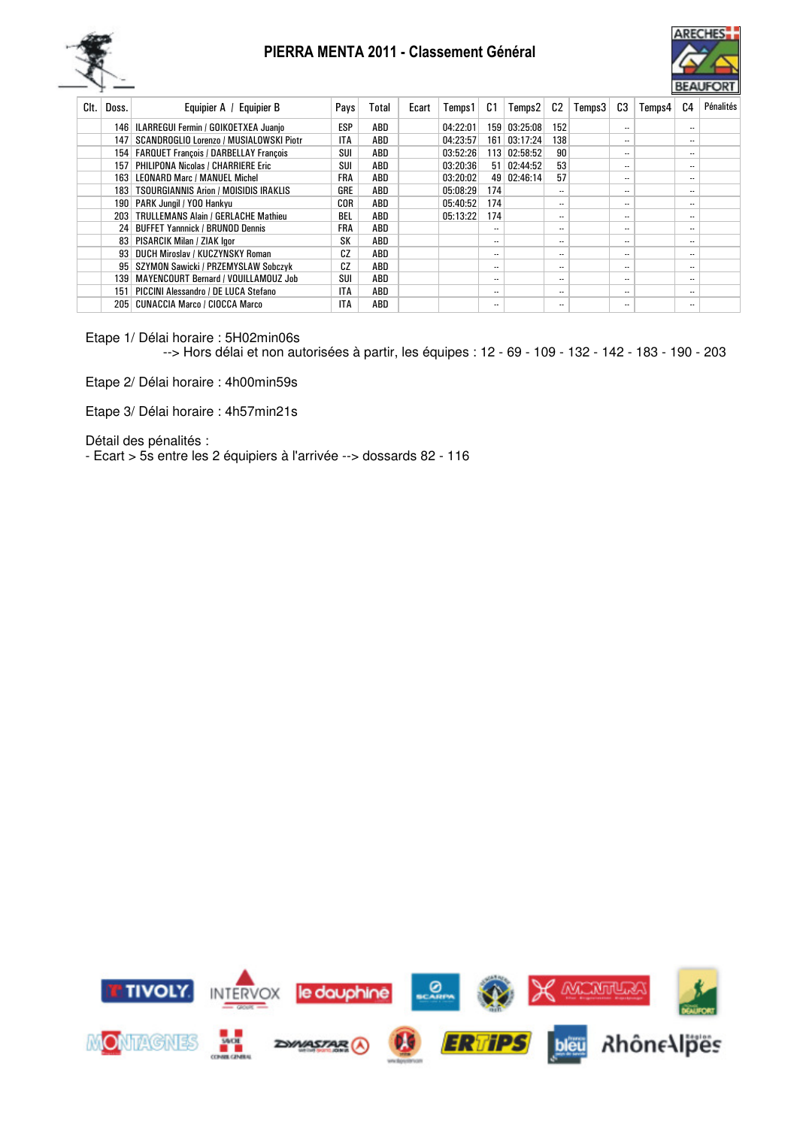



| Clt. | Doss.            | Equipier A / Equipier B                     | Pays       | Total | Ecart | Temps 1  | C1                       | Temps2        | C2  | Temps3 | C3                       | Temps4 | C4                       | Pénalités |
|------|------------------|---------------------------------------------|------------|-------|-------|----------|--------------------------|---------------|-----|--------|--------------------------|--------|--------------------------|-----------|
|      |                  | 146   ILARREGUI Fermin / GOIKOETXEA Juanio  | ESP        | ABD   |       | 04:22:01 | 159 <sup>1</sup>         | 03:25:08      | 152 |        | $\ddotsc$                |        | $\overline{\phantom{a}}$ |           |
|      | 147              | SCANDROGLIO Lorenzo / MUSIALOWSKI Piotr     | <b>ITA</b> | ABD   |       | 04:23:57 |                          | 161 03:17:24  | 138 |        | $\overline{\phantom{a}}$ |        | $\overline{\phantom{a}}$ |           |
|      |                  | 154   FARQUET François / DARBELLAY François | SUI        | ABD   |       | 03:52:26 |                          | 113 02:58:52  | 90  |        | $\overline{\phantom{a}}$ |        | $\overline{\phantom{a}}$ |           |
|      | 157 <sup>1</sup> | <b>PHILIPONA Nicolas / CHARRIERE Eric</b>   | SUI        | ABD   |       | 03:20:36 |                          | 51   02:44:52 | 53  |        | $\overline{\phantom{a}}$ |        | $\overline{\phantom{a}}$ |           |
|      |                  | 163 LEONARD Marc / MANUEL Michel            | FRA        | ABD   |       | 03:20:02 |                          | 49 02:46:14   | 57  |        | $\overline{\phantom{a}}$ |        | $\overline{\phantom{a}}$ |           |
|      |                  | 183   TSOURGIANNIS Arion / MOISIDIS IRAKLIS | GRE        | ABD   |       | 05:08:29 | 174                      |               |     |        | $\overline{\phantom{a}}$ |        | $\cdot$ .                |           |
|      |                  | 190   PARK Jungil / YOO Hankvu              | COR        | ABD   |       | 05:40:52 | 174                      |               |     |        | $\overline{\phantom{a}}$ |        | $\overline{\phantom{a}}$ |           |
|      |                  | 203   TRULLEMANS Alain / GERLACHE Mathieu   | BEL        | ABD   |       | 05:13:22 | 174                      |               |     |        | $\overline{\phantom{a}}$ |        | $\cdot$ .                |           |
|      |                  | 24 BUFFET Yannnick / BRUNOD Dennis          | FRA        | ABD   |       |          |                          |               |     |        | $\overline{\phantom{a}}$ |        | $\overline{\phantom{a}}$ |           |
|      |                  | 83   PISARCIK Milan / ZIAK lgor             | SK         | ABD   |       |          |                          |               |     |        | $\overline{\phantom{a}}$ |        | $\overline{\phantom{a}}$ |           |
|      |                  | 93 DUCH Miroslav / KUCZYNSKY Roman          | CZ         | ABD   |       |          |                          |               |     |        | $\overline{\phantom{a}}$ |        | $\overline{\phantom{a}}$ |           |
|      |                  | 95 SZYMON Sawicki / PRZEMYSLAW Sobczyk      | CZ         | ABD   |       |          |                          |               |     |        | $\overline{\phantom{a}}$ |        | $\overline{\phantom{a}}$ |           |
|      | 1391             | MAYENCOURT Bernard / VOUILLAMOUZ Job        | SUI        | ABD   |       |          | $\overline{\phantom{a}}$ |               |     |        | $\overline{\phantom{a}}$ |        | $\cdot$                  |           |
|      | 151              | PICCINI Alessandro / DE LUCA Stefano        | ITA        | ABD   |       |          |                          |               |     |        | $\overline{\phantom{a}}$ |        | $\overline{\phantom{a}}$ |           |
|      | 205              | <b>CUNACCIA Marco / CIOCCA Marco</b>        | <b>ITA</b> | ABD   |       |          | $\overline{\phantom{a}}$ |               |     |        | $\overline{\phantom{a}}$ |        | $\cdot$ .                |           |
|      |                  |                                             |            |       |       |          |                          |               |     |        |                          |        |                          |           |

Etape 1/ Délai horaire : 5H02min06s

--> Hors délai et non autorisées à partir, les équipes : 12 - 69 - 109 - 132 - 142 - 183 - 190 - 203

Etape 2/ Délai horaire : 4h00min59s

Etape 3/ Délai horaire : 4h57min21s

Détail des pénalités :

- Ecart > 5s entre les 2 équipiers à l'arrivée --> dossards 82 - 116